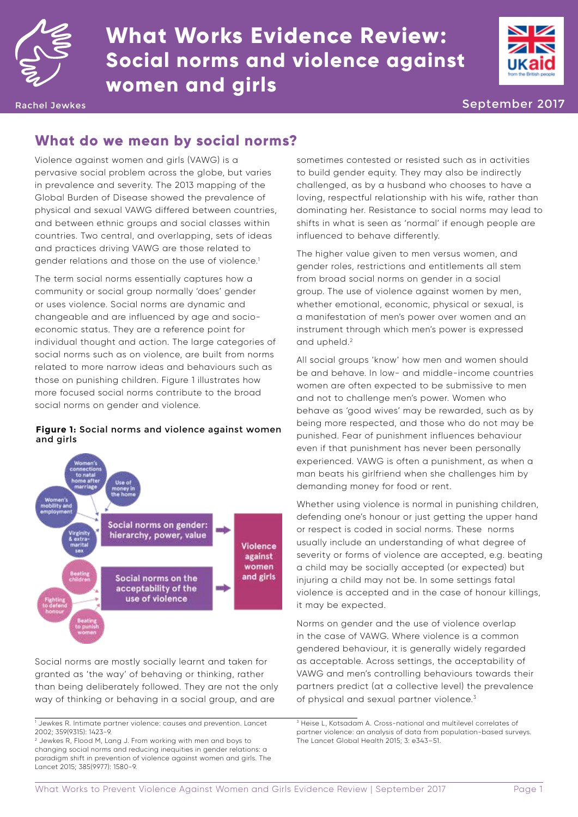

# **What Works Evidence Review: Social norms and violence against women and girls**



Rachel Jewkes September 2017 - September 2017 - September 2017 - September 2017

# **What do we mean by social norms?**

Violence against women and girls (VAWG) is a pervasive social problem across the globe, but varies in prevalence and severity. The 2013 mapping of the Global Burden of Disease showed the prevalence of physical and sexual VAWG differed between countries, and between ethnic groups and social classes within countries. Two central, and overlapping, sets of ideas and practices driving VAWG are those related to gender relations and those on the use of violence.1

The term social norms essentially captures how a community or social group normally 'does' gender or uses violence. Social norms are dynamic and changeable and are influenced by age and socioeconomic status. They are a reference point for individual thought and action. The large categories of social norms such as on violence, are built from norms related to more narrow ideas and behaviours such as those on punishing children. Figure 1 illustrates how more focused social norms contribute to the broad social norms on gender and violence.

#### **Figure 1:** Social norms and violence against women and girls



Social norms are mostly socially learnt and taken for granted as 'the way' of behaving or thinking, rather than being deliberately followed. They are not the only way of thinking or behaving in a social group, and are

sometimes contested or resisted such as in activities to build gender equity. They may also be indirectly challenged, as by a husband who chooses to have a loving, respectful relationship with his wife, rather than dominating her. Resistance to social norms may lead to shifts in what is seen as 'normal' if enough people are influenced to behave differently.

The higher value given to men versus women, and gender roles, restrictions and entitlements all stem from broad social norms on gender in a social group. The use of violence against women by men, whether emotional, economic, physical or sexual, is a manifestation of men's power over women and an instrument through which men's power is expressed and upheld.2

All social groups 'know' how men and women should be and behave. In low- and middle-income countries women are often expected to be submissive to men and not to challenge men's power. Women who behave as 'good wives' may be rewarded, such as by being more respected, and those who do not may be punished. Fear of punishment influences behaviour even if that punishment has never been personally experienced. VAWG is often a punishment, as when a man beats his girlfriend when she challenges him by demanding money for food or rent.

Whether using violence is normal in punishing children, defending one's honour or just getting the upper hand or respect is coded in social norms. These norms usually include an understanding of what degree of severity or forms of violence are accepted, e.g. beating a child may be socially accepted (or expected) but injuring a child may not be. In some settings fatal violence is accepted and in the case of honour killings, it may be expected.

Norms on gender and the use of violence overlap in the case of VAWG. Where violence is a common gendered behaviour, it is generally widely regarded as acceptable. Across settings, the acceptability of VAWG and men's controlling behaviours towards their partners predict (at a collective level) the prevalence of physical and sexual partner violence.3

<sup>1</sup> Jewkes R. Intimate partner violence: causes and prevention. Lancet 2002; 359(9315): 1423-9.

<sup>2</sup> Jewkes R, Flood M, Lang J. From working with men and boys to changing social norms and reducing inequities in gender relations: a paradigm shift in prevention of violence against women and girls. The Lancet 2015; 385(9977): 1580-9.

<sup>&</sup>lt;sup>3</sup> Heise L, Kotsadam A. Cross-national and multilevel correlates of partner violence: an analysis of data from population-based surveys. The Lancet Global Health 2015; 3: e343–51.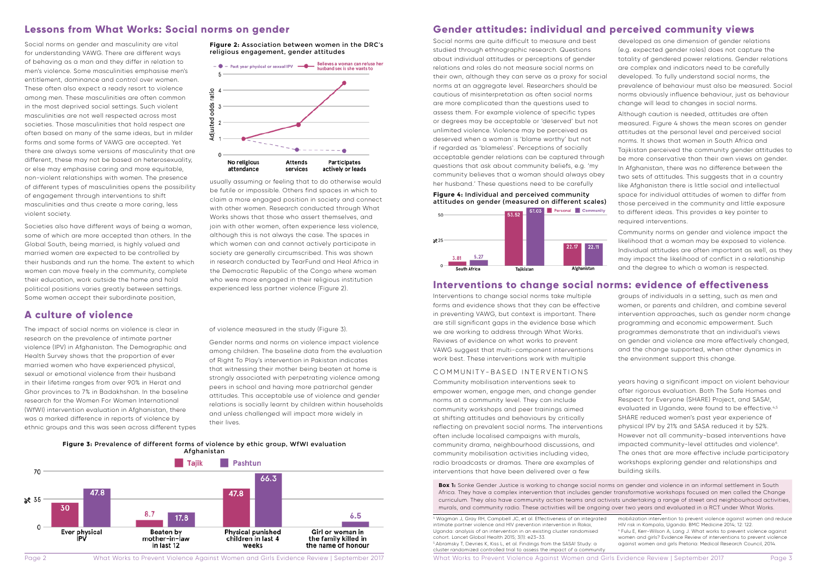

Social norms on gender and masculinity are vital for understanding VAWG. There are different ways of behaving as a man and they differ in relation to men's violence. Some masculinities emphasise men's entitlement, dominance and control over women. These often also expect a ready resort to violence among men. These masculinities are often common in the most deprived social settings. Such violent masculinities are not well respected across most societies. Those masculinities that hold respect are often based on many of the same ideas, but in milder forms and some forms of VAWG are accepted. Yet there are always some versions of masculinity that are different, these may not be based on heterosexuality, or else may emphasise caring and more equitable, non-violent relationships with women. The presence of different types of masculinities opens the possibility of engagement through interventions to shift masculinities and thus create a more caring, less violent society.

Societies also have different ways of being a woman, some of which are more accepted than others. In the Global South, being married, is highly valued and married women are expected to be controlled by their husbands and run the home. The extent to which women can move freely in the community, complete their education, work outside the home and hold political positions varies greatly between settings. Some women accept their subordinate position,

# **Lessons from What Works: Social norms on gender**

usually assuming or feeling that to do otherwise would be futile or impossible. Others find spaces in which to claim a more engaged position in society and connect with other women. Research conducted through What Works shows that those who assert themselves, and join with other women, often experience less violence, although this is not always the case. The spaces in which women can and cannot actively participate in society are generally circumscribed. This was shown in research conducted by TearFund and Heal Africa in the Democratic Republic of the Congo where women who were more engaged in their religious institution experienced less partner violence (Figure 2).

The impact of social norms on violence is clear in research on the prevalence of intimate partner violence (IPV) in Afghanistan. The Demographic and Health Survey shows that the proportion of ever married women who have experienced physical, sexual or emotional violence from their husband in their lifetime ranges from over 90% in Herat and Ghor provinces to 7% in Badakhshan. In the baseline research for the Women For Women International (WfWI) intervention evaluation in Afghanistan, there was a marked difference in reports of violence by ethnic groups and this was seen across different types

## **A culture of violence**

of violence measured in the study (Figure 3).

Gender norms and norms on violence impact violence among children. The baseline data from the evaluation of Right To Play's intervention in Pakistan indicates that witnessing their mother being beaten at home is strongly associated with perpetrating violence among peers in school and having more patriarchal gender attitudes. This acceptable use of violence and gender relations is socially learnt by children within households and unless challenged will impact more widely in their lives.

#### **Figure 3:** Prevalence of different forms of violence by ethic group, WfWI evaluation Afghanistan



**Figure 2:** Association between women in the DRC's religious engagement, gender attitudes



Social norms are quite difficult to measure and best studied through ethnographic research. Questions about individual attitudes or perceptions of gender relations and roles do not measure social norms on their own, although they can serve as a proxy for social norms at an aggregate level. Researchers should be cautious of misinterpretation as often social norms are more complicated than the questions used to assess them. For example violence of specific types or degrees may be acceptable or 'deserved' but not unlimited violence. Violence may be perceived as deserved when a woman is 'blame worthy' but not if regarded as 'blameless'. Perceptions of socially acceptable gender relations can be captured through questions that ask about community beliefs, e.g. 'my community believes that a woman should always obey her husband.' These questions need to be carefully

**Box 1:** Sonke Gender Justice is working to change social norms on gender and violence in an informal settlement in South Africa. They have a complex intervention that includes gender transformative workshops focused on men called the Change curriculum. They also have community action teams and activists undertaking a range of street and neighbourhood activities, murals, and community radio. These activities will be ongoing over two years and evaluated in a RCT under What Works.

Interventions to change social norms take multiple forms and evidence shows that they can be effective in preventing VAWG, but context is important. There are still significant gaps in the evidence base which we are working to address through What Works. Reviews of evidence on what works to prevent VAWG suggest that multi-component interventions work best. These interventions work with multiple

### COMMUNITY-BASED INTERVENTIONS

Community mobilisation interventions seek to empower women, engage men, and change gender norms at a community level. They can include community workshops and peer trainings aimed at shifting attitudes and behaviours by critically reflecting on prevalent social norms. The interventions often include localised campaigns with murals, community drama, neighbourhood discussions, and community mobilisation activities including video, radio broadcasts or dramas. There are examples of interventions that have been delivered over a few

# **Gender attitudes: individual and perceived community views**

## **Interventions to change social norms: evidence of effectiveness**

- developed as one dimension of gender relations (e.g. expected gender roles) does not capture the totality of gendered power relations. Gender relations are complex and indicators need to be carefully developed. To fully understand social norms, the prevalence of behaviour must also be measured. Social norms obviously influence behaviour, just as behaviour change will lead to changes in social norms.
- Although caution is needed, attitudes are often measured. Figure 4 shows the mean scores on gender attitudes at the personal level and perceived social norms. It shows that women in South Africa and Tajikistan perceived the community gender attitudes to be more conservative than their own views on gender. In Afghanistan, there was no difference between the two sets of attitudes. This suggests that in a country like Afghanistan there is little social and intellectual space for individual attitudes of women to differ from those perceived in the community and little exposure to different ideas. This provides a key pointer to required interventions.
- Community norms on gender and violence impact the likelihood that a woman may be exposed to violence. Individual attitudes are often important as well, as they may impact the likelihood of conflict in a relationship and the degree to which a woman is respected.
- groups of individuals in a setting, such as men and women, or parents and children, and combine several intervention approaches, such as gender norm change programming and economic empowerment. Such programmes demonstrate that an individual's views on gender and violence are more effectively changed, and the change supported, when other dynamics in the environment support this change.
- years having a significant impact on violent behaviour after rigorous evaluation. Both The Safe Homes and Respect for Everyone (SHARE) Project, and SASA!, evaluated in Uganda, were found to be effective.<sup>4,5</sup> SHARE reduced women's past year experience of physical IPV by 21% and SASA reduced it by 52%. However not all community-based interventions have impacted community-level attitudes and violence<sup>6</sup>. The ones that are more effective include participatory workshops exploring gender and relationships and building skills.
- 
- mobilization intervention to prevent violence against women and reduce HIV risk in Kampala, Uganda. BMC Medicine 2014; 12: 122.
- 6 Fulu E, Kerr-Wilson A, Lang J. What works to prevent violence against women and girls? Evidence Review of interventions to prevent violence against women and girls Pretoria: Medical Research Council, 2014.

#### **Figure 4:** Individual and perceived community attitudes on gender (measured on different scales)



4 Wagman J, Gray RH, Campbell JC, et al. Effectiveness of an integrated intimate partner violence and HIV prevention intervention in Rakai, Uganda: analysis of an intervention in an existing cluster randomised cohort. Lancet Global Health 2015; 3(1): e23-33. 5 .Abramsky T, Devries K, Kiss L, et al. Findings from the SASA! Study: a cluster randomized controlled trial to assess the impact of a community